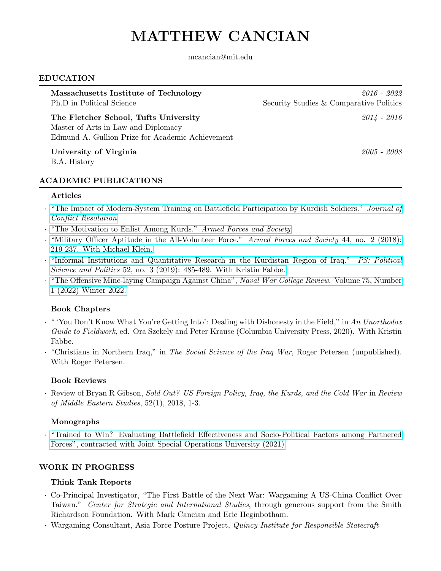# MATTHEW CANCIAN

mcancian@mit.edu

#### EDUCATION

| Massachusetts Institute of Technology<br>Ph.D in Political Science                                                               | 2016 - 2022<br>Security Studies & Comparative Politics |
|----------------------------------------------------------------------------------------------------------------------------------|--------------------------------------------------------|
| The Fletcher School, Tufts University<br>Master of Arts in Law and Diplomacy<br>Edmund A. Gullion Prize for Academic Achievement | $2014 - 2016$                                          |
| University of Virginia<br>B.A. History                                                                                           | 2005 - 2008                                            |

### ACADEMIC PUBLICATIONS

#### Articles

- · ["The Impact of Modern-System Training on Battlefield Participation by Kurdish Soldiers."](https://journals.sagepub.com/doi/abs/10.1177/00220027221078332) Journal of [Conflict Resolution](https://journals.sagepub.com/doi/abs/10.1177/00220027221078332)
- · ["The Motivation to Enlist Among Kurds."](https://journals.sagepub.com/doi/abs/10.1177/0095327X211038026) Armed Forces and Society
- · ["Military Officer Aptitude in the All-Volunteer Force."](https://journals.sagepub.com/doi/10.1177/0095327X17695223) Armed Forces and Society 44, no. 2 (2018): [219-237. With Michael Klein.](https://journals.sagepub.com/doi/10.1177/0095327X17695223)
- · ["Informal Institutions and Quantitative Research in the Kurdistan Region of Iraq."](https://www.cambridge.org/core/journals/ps-political-science-and-politics/article/abs/informal-institutions-and-survey-research-in-the-kurdistan-region-of-iraq/DB40DA260FE426149E46B27D12A97462) PS: Political Science and Politics [52, no. 3 \(2019\): 485-489. With Kristin Fabbe.](https://www.cambridge.org/core/journals/ps-political-science-and-politics/article/abs/informal-institutions-and-survey-research-in-the-kurdistan-region-of-iraq/DB40DA260FE426149E46B27D12A97462)
- · ["The Offensive Mine-laying Campaign Against China",](https://digital-commons.usnwc.edu/cgi/viewcontent.cgi?article=8247&context=nwc-review) Naval War College Review. Volume 75, Number [1 \(2022\) Winter 2022.](https://digital-commons.usnwc.edu/cgi/viewcontent.cgi?article=8247&context=nwc-review)

### Book Chapters

- · " 'You Don't Know What You're Getting Into': Dealing with Dishonesty in the Field," in An Unorthodox Guide to Fieldwork, ed. Ora Szekely and Peter Krause (Columbia University Press, 2020). With Kristin Fabbe.
- · "Christians in Northern Iraq," in The Social Science of the Iraq War, Roger Petersen (unpublished). With Roger Petersen.

### Book Reviews

· Review of Bryan R Gibson, Sold Out? US Foreign Policy, Iraq, the Kurds, and the Cold War in Review of Middle Eastern Studies, 52(1), 2018, 1-3.

### Monographs

· ["Trained to Win? Evaluating Battlefield Effectiveness and Socio-Political Factors among Partnered](https://jsou.libguides.com/ld.php?content_id=64846852) [Forces", contracted with Joint Special Operations University \(2021\)](https://jsou.libguides.com/ld.php?content_id=64846852)

### WORK IN PROGRESS

### Think Tank Reports

- · Co-Principal Investigator, "The First Battle of the Next War: Wargaming A US-China Conflict Over Taiwan." Center for Strategic and International Studies, through generous support from the Smith Richardson Foundation. With Mark Cancian and Eric Heginbotham.
- · Wargaming Consultant, Asia Force Posture Project, Quincy Institute for Responsible Statecraft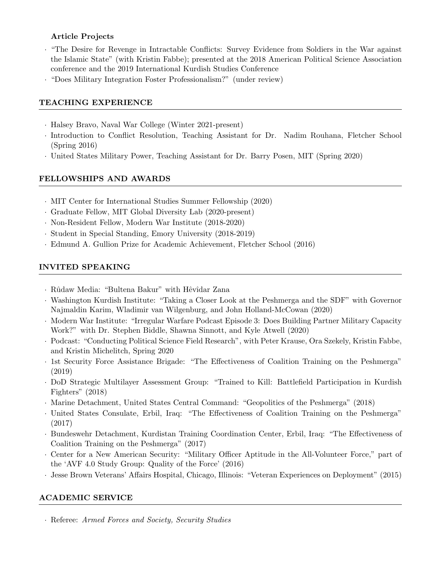## Article Projects

- · "The Desire for Revenge in Intractable Conflicts: Survey Evidence from Soldiers in the War against the Islamic State" (with Kristin Fabbe); presented at the 2018 American Political Science Association conference and the 2019 International Kurdish Studies Conference
- · "Does Military Integration Foster Professionalism?" (under review)

## TEACHING EXPERIENCE

- · Halsey Bravo, Naval War College (Winter 2021-present)
- · Introduction to Conflict Resolution, Teaching Assistant for Dr. Nadim Rouhana, Fletcher School (Spring 2016)
- · United States Military Power, Teaching Assistant for Dr. Barry Posen, MIT (Spring 2020)

## FELLOWSHIPS AND AWARDS

- · MIT Center for International Studies Summer Fellowship (2020)
- · Graduate Fellow, MIT Global Diversity Lab (2020-present)
- · Non-Resident Fellow, Modern War Institute (2018-2020)
- · Student in Special Standing, Emory University (2018-2019)
- · Edmund A. Gullion Prize for Academic Achievement, Fletcher School (2016)

## INVITED SPEAKING

- · Rûdaw Media: "Bultena Bakur" with Hêvîdar Zana
- · Washington Kurdish Institute: "Taking a Closer Look at the Peshmerga and the SDF" with Governor Najmaldin Karim, Wladimir van Wilgenburg, and John Holland-McCowan (2020)
- · Modern War Institute: "Irregular Warfare Podcast Episode 3: Does Building Partner Military Capacity Work?" with Dr. Stephen Biddle, Shawna Sinnott, and Kyle Atwell (2020)
- · Podcast: "Conducting Political Science Field Research", with Peter Krause, Ora Szekely, Kristin Fabbe, and Kristin Michelitch, Spring 2020
- · 1st Security Force Assistance Brigade: "The Effectiveness of Coalition Training on the Peshmerga" (2019)
- · DoD Strategic Multilayer Assessment Group: "Trained to Kill: Battlefield Participation in Kurdish Fighters" (2018)
- · Marine Detachment, United States Central Command: "Geopolitics of the Peshmerga" (2018)
- · United States Consulate, Erbil, Iraq: "The Effectiveness of Coalition Training on the Peshmerga" (2017)
- · Bundeswehr Detachment, Kurdistan Training Coordination Center, Erbil, Iraq: "The Effectiveness of Coalition Training on the Peshmerga" (2017)
- · Center for a New American Security: "Military Officer Aptitude in the All-Volunteer Force," part of the 'AVF 4.0 Study Group: Quality of the Force' (2016)
- · Jesse Brown Veterans' Affairs Hospital, Chicago, Illinois: "Veteran Experiences on Deployment" (2015)

# ACADEMIC SERVICE

· Referee: Armed Forces and Society, Security Studies